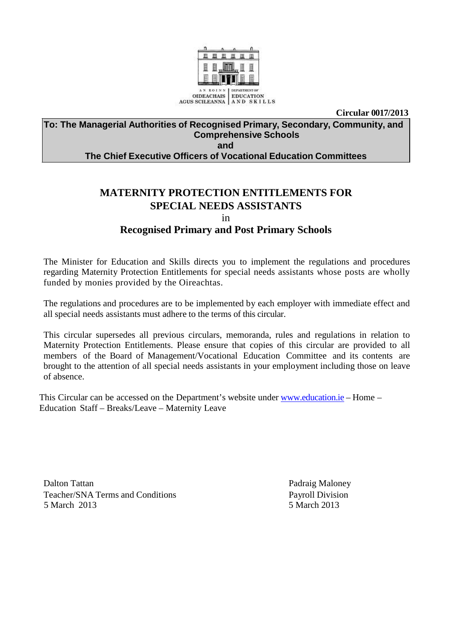

**Circular 0017/2013**

**To: The Managerial Authorities of Recognised Primary, Secondary, Community, and Comprehensive Schools and**

**The Chief Executive Officers of Vocational Education Committees**

# **MATERNITY PROTECTION ENTITLEMENTS FOR SPECIAL NEEDS ASSISTANTS** in **Recognised Primary and Post Primary Schools**

The Minister for Education and Skills directs you to implement the regulations and procedures regarding Maternity Protection Entitlements for special needs assistants whose posts are wholly funded by monies provided by the Oireachtas.

The regulations and procedures are to be implemented by each employer with immediate effect and all special needs assistants must adhere to the terms of this circular.

This circular supersedes all previous circulars, memoranda, rules and regulations in relation to Maternity Protection Entitlements. Please ensure that copies of this circular are provided to all members of the Board of Management/Vocational Education Committee and its contents are brought to the attention of all special needs assistants in your employment including those on leave of absence.

This Circular can be accessed on the Department's website under www.education.ie – Home – Education Staff – Breaks/Leave – Maternity Leave

Dalton Tattan Padraig Maloney Teacher/SNA Terms and Conditions Payroll Division 5 March 2013 5 March 2013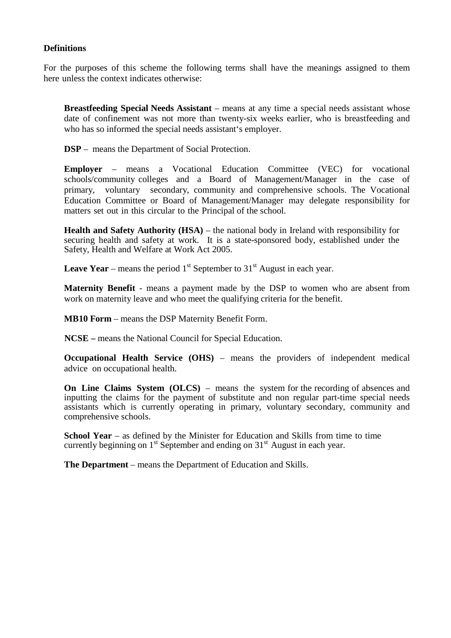#### **Definitions**

For the purposes of this scheme the following terms shall have the meanings assigned to them here unless the context indicates otherwise:

**Breastfeeding Special Needs Assistant** – means at any time a special needs assistant whose date of confinement was not more than twenty-six weeks earlier, who is breastfeeding and who has so informed the special needs assistant's employer.

**DSP** – means the Department of Social Protection.

**Employer** – means a Vocational Education Committee (VEC) for vocational schools/community colleges and a Board of Management/Manager in the case of primary, voluntary secondary, community and comprehensive schools. The Vocational Education Committee or Board of Management/Manager may delegate responsibility for matters set out in this circular to the Principal of the school.

**Health and Safety Authority (HSA)** – the national body in Ireland with responsibility for securing health and safety at work. It is a state-sponsored body, established under the Safety, Health and Welfare at Work Act 2005.

**Leave Year** – means the period  $1<sup>st</sup>$  September to  $31<sup>st</sup>$  August in each year.

**Maternity Benefit** - means a payment made by the DSP to women who are absent from work on maternity leave and who meet the qualifying criteria for the benefit.

**MB10 Form** – means the DSP Maternity Benefit Form.

**NCSE –** means the National Council for Special Education.

**Occupational Health Service (OHS)** – means the providers of independent medical advice on occupational health.

**On Line Claims System (OLCS)** – means the system for the recording of absences and inputting the claims for the payment of substitute and non regular part-time special needs assistants which is currently operating in primary, voluntary secondary, community and comprehensive schools.

**School Year** – as defined by the Minister for Education and Skills from time to time currently beginning on  $1<sup>st</sup>$  September and ending on  $31<sup>st</sup>$  August in each year.

**The Department** – means the Department of Education and Skills.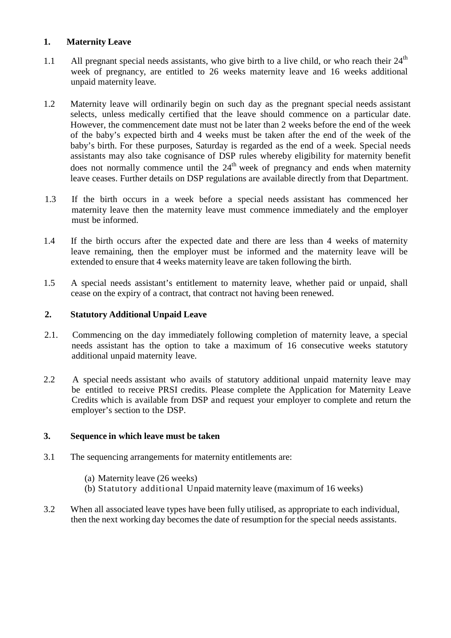#### **1. Maternity Leave**

- 1.1 All pregnant special needs assistants, who give birth to a live child, or who reach their  $24<sup>th</sup>$ week of pregnancy, are entitled to 26 weeks maternity leave and 16 weeks additional unpaid maternity leave.
- 1.2 Maternity leave will ordinarily begin on such day as the pregnant special needs assistant selects, unless medically certified that the leave should commence on a particular date. However, the commencement date must not be later than 2 weeks before the end of the week of the baby's expected birth and 4 weeks must be taken after the end of the week of the baby's birth. For these purposes, Saturday is regarded as the end of a week. Special needs assistants may also take cognisance of DSP rules whereby eligibility for maternity benefit does not normally commence until the  $24<sup>th</sup>$  week of pregnancy and ends when maternity leave ceases. Further details on DSP regulations are available directly from that Department.
- 1.3 If the birth occurs in a week before a special needs assistant has commenced her maternity leave then the maternity leave must commence immediately and the employer must be informed.
- 1.4 If the birth occurs after the expected date and there are less than 4 weeks of maternity leave remaining, then the employer must be informed and the maternity leave will be extended to ensure that 4 weeks maternity leave are taken following the birth.
- 1.5 A special needs assistant's entitlement to maternity leave, whether paid or unpaid, shall cease on the expiry of a contract, that contract not having been renewed.

#### **2. Statutory Additional Unpaid Leave**

- 2.1. Commencing on the day immediately following completion of maternity leave, a special needs assistant has the option to take a maximum of 16 consecutive weeks statutory additional unpaid maternity leave.
- 2.2 A special needs assistant who avails of statutory additional unpaid maternity leave may be entitled to receive PRSI credits. Please complete the Application for Maternity Leave Credits which is available from DSP and request your employer to complete and return the employer's section to the DSP.

## **3. Sequence in which leave must be taken**

- 3.1 The sequencing arrangements for maternity entitlements are:
	- (a) Maternity leave (26 weeks)
	- (b) Statutory additional Unpaid maternity leave (maximum of 16 weeks)
- 3.2 When all associated leave types have been fully utilised, as appropriate to each individual, then the next working day becomes the date of resumption for the special needs assistants.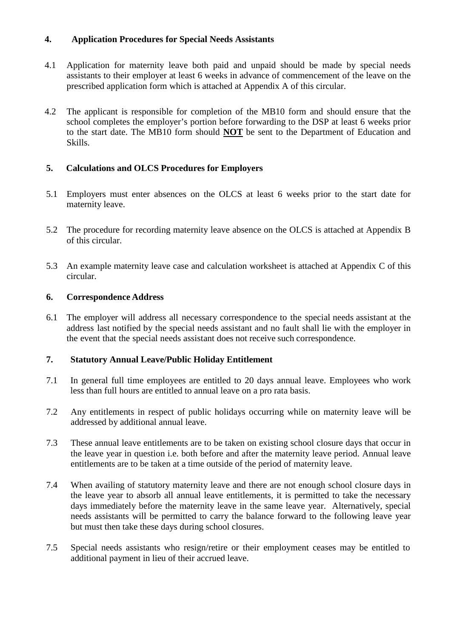# **4. Application Procedures for Special Needs Assistants**

- 4.1 Application for maternity leave both paid and unpaid should be made by special needs assistants to their employer at least 6 weeks in advance of commencement of the leave on the prescribed application form which is attached at Appendix A of this circular.
- 4.2The applicant is responsible for completion of the MB10 form and should ensure that the school completes the employer's portion before forwarding to the DSP at least 6 weeks prior to the start date. The MB10 form should **NOT** be sent to the Department of Education and Skills.

# **5. Calculations and OLCS Procedures for Employers**

- 5.1 Employers must enter absences on the OLCS at least 6 weeks prior to the start date for maternity leave.
- 5.2 The procedure for recording maternity leave absence on the OLCS is attached at Appendix B of this circular.
- 5.3 An example maternity leave case and calculation worksheet is attached at Appendix C of this circular.

#### **6. Correspondence Address**

6.1 The employer will address all necessary correspondence to the special needs assistant at the address last notified by the special needs assistant and no fault shall lie with the employer in the event that the special needs assistant does not receive such correspondence.

## **7. Statutory Annual Leave/Public Holiday Entitlement**

- 7.1 In general full time employees are entitled to 20 days annual leave. Employees who work less than full hours are entitled to annual leave on a pro rata basis.
- 7.2 Any entitlements in respect of public holidays occurring while on maternity leave will be addressed by additional annual leave.
- 7.3 These annual leave entitlements are to be taken on existing school closure days that occur in the leave year in question i.e. both before and after the maternity leave period. Annual leave entitlements are to be taken at a time outside of the period of maternity leave.
- 7.4 When availing of statutory maternity leave and there are not enough school closure days in the leave year to absorb all annual leave entitlements, it is permitted to take the necessary days immediately before the maternity leave in the same leave year. Alternatively, special needs assistants will be permitted to carry the balance forward to the following leave year but must then take these days during school closures.
- 7.5 Special needs assistants who resign/retire or their employment ceases may be entitled to additional payment in lieu of their accrued leave.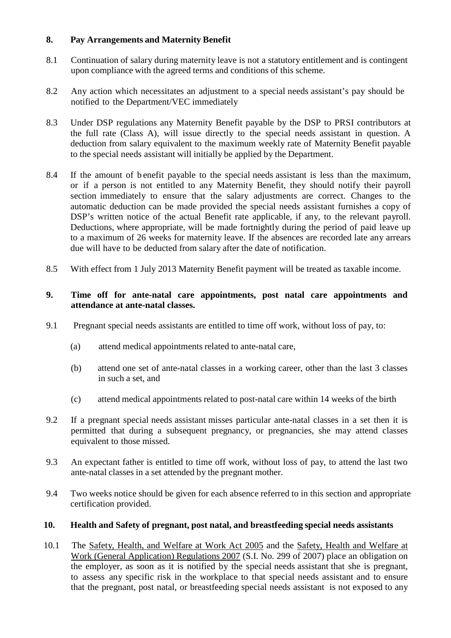#### **8. Pay Arrangements and Maternity Benefit**

- 8.1 Continuation of salary during maternity leave is not a statutory entitlement and is contingent upon compliance with the agreed terms and conditions of this scheme.
- 8.2 Any action which necessitates an adjustment to a special needs assistant's pay should be notified to the Department/VEC immediately
- 8.3 Under DSP regulations any Maternity Benefit payable by the DSP to PRSI contributors at the full rate (Class A), will issue directly to the special needs assistant in question. A deduction from salary equivalent to the maximum weekly rate of Maternity Benefit payable to the special needs assistant will initially be applied by the Department.
- 8.4 If the amount of b enefit payable to the special needs assistant is less than the maximum, or if a person is not entitled to any Maternity Benefit, they should notify their payroll section immediately to ensure that the salary adjustments are correct. Changes to the automatic deduction can be made provided the special needs assistant furnishes a copy of DSP's written notice of the actual Benefit rate applicable, if any, to the relevant payroll. Deductions, where appropriate, will be made fortnightly during the period of paid leave up to a maximum of 26 weeks for maternity leave. If the absences are recorded late any arrears due will have to be deducted from salary after the date of notification.
- 8.5 With effect from 1 July 2013 Maternity Benefit payment will be treated as taxable income.

## **9. Time off for ante-natal care appointments, post natal care appointments and attendance at ante-natal classes.**

- 9.1 Pregnant special needs assistants are entitled to time off work, without loss of pay, to:
	- (a) attend medical appointments related to ante-natal care,
	- (b) attend one set of ante-natal classes in a working career, other than the last 3 classes in such a set, and
	- (c) attend medical appointments related to post-natal care within 14 weeks of the birth
- 9.2 If a pregnant special needs assistant misses particular ante-natal classes in a set then it is permitted that during a subsequent pregnancy, or pregnancies, she may attend classes equivalent to those missed.
- 9.3 An expectant father is entitled to time off work, without loss of pay, to attend the last two ante-natal classes in a set attended by the pregnant mother.
- 9.4 Two weeks notice should be given for each absence referred to in this section and appropriate certification provided.

## **10. Health and Safety of pregnant, post natal, and breastfeeding special needs assistants**

10.1 The Safety, Health, and Welfare at Work Act 2005 and the Safety, Health and Welfare at Work (General Application) Regulations 2007 (S.I. No. 299 of 2007) place an obligation on the employer, as soon as it is notified by the special needs assistant that she is pregnant, to assess any specific risk in the workplace to that special needs assistant and to ensure that the pregnant, post natal, or breastfeeding special needs assistant is not exposed to any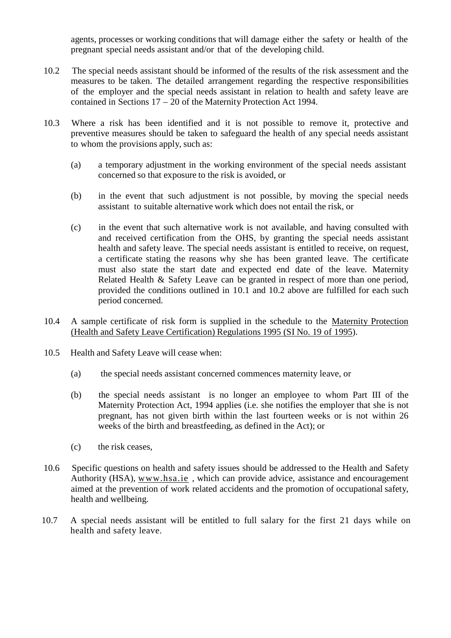agents, processes or working conditions that will damage either the safety or health of the pregnant special needs assistant and/or that of the developing child.

- 10.2 The special needs assistant should be informed of the results of the risk assessment and the measures to be taken. The detailed arrangement regarding the respective responsibilities of the employer and the special needs assistant in relation to health and safety leave are contained in Sections 17 – 20 of the Maternity Protection Act 1994.
- 10.3 Where a risk has been identified and it is not possible to remove it, protective and preventive measures should be taken to safeguard the health of any special needs assistant to whom the provisions apply, such as:
	- (a) a temporary adjustment in the working environment of the special needs assistant concerned so that exposure to the risk is avoided, or
	- (b) in the event that such adjustment is not possible, by moving the special needs assistant to suitable alternative work which does not entail the risk, or
	- (c) in the event that such alternative work is not available, and having consulted with and received certification from the OHS, by granting the special needs assistant health and safety leave. The special needs assistant is entitled to receive, on request, a certificate stating the reasons why she has been granted leave. The certificate must also state the start date and expected end date of the leave. Maternity Related Health & Safety Leave can be granted in respect of more than one period, provided the conditions outlined in 10.1 and 10.2 above are fulfilled for each such period concerned.
- 10.4 A sample certificate of risk form is supplied in the schedule to the Maternity Protection (Health and Safety Leave Certification) Regulations 1995 (SI No. 19 of 1995).
- 10.5 Health and Safety Leave will cease when:
	- (a) the special needs assistant concerned commences maternity leave, or
	- (b) the special needs assistant is no longer an employee to whom Part III of the Maternity Protection Act, 1994 applies (i.e. she notifies the employer that she is not pregnant, has not given birth within the last fourteen weeks or is not within 26 weeks of the birth and breastfeeding, as defined in the Act); or
	- (c) the risk ceases,
- 10.6 Specific questions on health and safety issues should be addressed to the Health and Safety Authority (HSA), www.hsa.ie , which can provide advice, assistance and encouragement aimed at the prevention of work related accidents and the promotion of occupational safety, health and wellbeing.
- 10.7 A special needs assistant will be entitled to full salary for the first 21 days while on health and safety leave.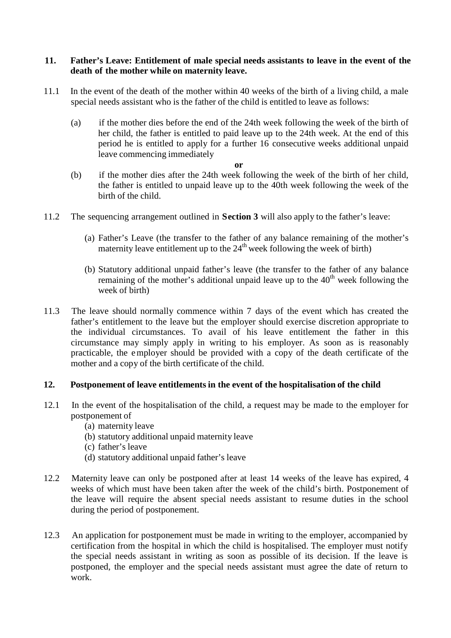#### **11. Father's Leave: Entitlement of male special needs assistants to leave in the event of the death of the mother while on maternity leave.**

- 11.1 In the event of the death of the mother within 40 weeks of the birth of a living child, a male special needs assistant who is the father of the child is entitled to leave as follows:
	- (a) if the mother dies before the end of the 24th week following the week of the birth of her child, the father is entitled to paid leave up to the 24th week. At the end of this period he is entitled to apply for a further 16 consecutive weeks additional unpaid leave commencing immediately

**or**

- (b) if the mother dies after the 24th week following the week of the birth of her child, the father is entitled to unpaid leave up to the 40th week following the week of the birth of the child.
- 11.2 The sequencing arrangement outlined in **Section 3** will also apply to the father's leave:
	- (a) Father's Leave (the transfer to the father of any balance remaining of the mother's maternity leave entitlement up to the  $24<sup>th</sup>$  week following the week of birth)
	- (b) Statutory additional unpaid father's leave (the transfer to the father of any balance remaining of the mother's additional unpaid leave up to the  $40<sup>th</sup>$  week following the week of birth)
- 11.3 The leave should normally commence within 7 days of the event which has created the father's entitlement to the leave but the employer should exercise discretion appropriate to the individual circumstances. To avail of his leave entitlement the father in this circumstance may simply apply in writing to his employer. As soon as is reasonably practicable, the e mployer should be provided with a copy of the death certificate of the mother and a copy of the birth certificate of the child.

#### **12. Postponement of leave entitlements in the event of the hospitalisation of the child**

- 12.1 In the event of the hospitalisation of the child, a request may be made to the employer for postponement of
	- (a) maternity leave
	- (b) statutory additional unpaid maternity leave
	- (c) father's leave
	- (d) statutory additional unpaid father's leave
- 12.2 Maternity leave can only be postponed after at least 14 weeks of the leave has expired, 4 weeks of which must have been taken after the week of the child's birth. Postponement of the leave will require the absent special needs assistant to resume duties in the school during the period of postponement.
- 12.3 An application for postponement must be made in writing to the employer, accompanied by certification from the hospital in which the child is hospitalised. The employer must notify the special needs assistant in writing as soon as possible of its decision. If the leave is postponed, the employer and the special needs assistant must agree the date of return to work.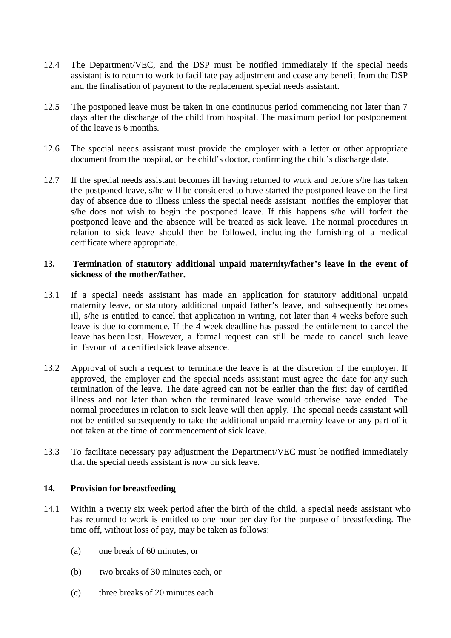- 12.4 The Department/VEC, and the DSP must be notified immediately if the special needs assistant is to return to work to facilitate pay adjustment and cease any benefit from the DSP and the finalisation of payment to the replacement special needs assistant.
- 12.5 The postponed leave must be taken in one continuous period commencing not later than 7 days after the discharge of the child from hospital. The maximum period for postponement of the leave is 6 months.
- 12.6 The special needs assistant must provide the employer with a letter or other appropriate document from the hospital, or the child's doctor, confirming the child's discharge date.
- 12.7 If the special needs assistant becomes ill having returned to work and before s/he has taken the postponed leave, s/he will be considered to have started the postponed leave on the first day of absence due to illness unless the special needs assistant notifies the employer that s/he does not wish to begin the postponed leave. If this happens s/he will forfeit the postponed leave and the absence will be treated as sick leave. The normal procedures in relation to sick leave should then be followed, including the furnishing of a medical certificate where appropriate.

#### **13. Termination of statutory additional unpaid maternity/father's leave in the event of sickness of the mother/father.**

- 13.1 If a special needs assistant has made an application for statutory additional unpaid maternity leave, or statutory additional unpaid father's leave, and subsequently becomes ill, s/he is entitled to cancel that application in writing, not later than 4 weeks before such leave is due to commence. If the 4 week deadline has passed the entitlement to cancel the leave has been lost. However, a formal request can still be made to cancel such leave in favour of a certified sick leave absence.
- 13.2 Approval of such a request to terminate the leave is at the discretion of the employer. If approved, the employer and the special needs assistant must agree the date for any such termination of the leave. The date agreed can not be earlier than the first day of certified illness and not later than when the terminated leave would otherwise have ended. The normal procedures in relation to sick leave will then apply. The special needs assistant will not be entitled subsequently to take the additional unpaid maternity leave or any part of it not taken at the time of commencement of sick leave.
- 13.3 To facilitate necessary pay adjustment the Department/VEC must be notified immediately that the special needs assistant is now on sick leave.

#### **14. Provision for breastfeeding**

- 14.1 Within a twenty six week period after the birth of the child, a special needs assistant who has returned to work is entitled to one hour per day for the purpose of breastfeeding. The time off, without loss of pay, may be taken as follows:
	- (a) one break of 60 minutes, or
	- (b) two breaks of 30 minutes each, or
	- (c) three breaks of 20 minutes each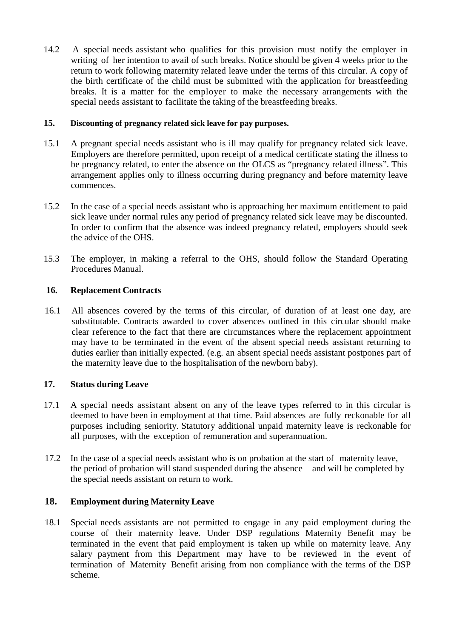14.2 A special needs assistant who qualifies for this provision must notify the employer in writing of her intention to avail of such breaks. Notice should be given 4 weeks prior to the return to work following maternity related leave under the terms of this circular. A copy of the birth certificate of the child must be submitted with the application for breastfeeding breaks. It is a matter for the employer to make the necessary arrangements with the special needs assistant to facilitate the taking of the breastfeeding breaks.

#### **15. Discounting of pregnancy related sick leave for pay purposes.**

- 15.1 A pregnant special needs assistant who is ill may qualify for pregnancy related sick leave. Employers are therefore permitted, upon receipt of a medical certificate stating the illness to be pregnancy related, to enter the absence on the OLCS as "pregnancy related illness". This arrangement applies only to illness occurring during pregnancy and before maternity leave commences.
- 15.2 In the case of a special needs assistant who is approaching her maximum entitlement to paid sick leave under normal rules any period of pregnancy related sick leave may be discounted. In order to confirm that the absence was indeed pregnancy related, employers should seek the advice of the OHS.
- 15.3 The employer, in making a referral to the OHS, should follow the Standard Operating Procedures Manual.

## **16. Replacement Contracts**

16.1 All absences covered by the terms of this circular, of duration of at least one day, are substitutable. Contracts awarded to cover absences outlined in this circular should make clear reference to the fact that there are circumstances where the replacement appointment may have to be terminated in the event of the absent special needs assistant returning to duties earlier than initially expected. (e.g. an absent special needs assistant postpones part of the maternity leave due to the hospitalisation of the newborn baby).

## **17. Status during Leave**

- 17.1 A special needs assistant absent on any of the leave types referred to in this circular is deemed to have been in employment at that time. Paid absences are fully reckonable for all purposes including seniority. Statutory additional unpaid maternity leave is reckonable for all purposes, with the exception of remuneration and superannuation.
- 17.2 In the case of a special needs assistant who is on probation at the start of maternity leave, the period of probation will stand suspended during the absence and will be completed by the special needs assistant on return to work.

## **18. Employment during Maternity Leave**

18.1 Special needs assistants are not permitted to engage in any paid employment during the course of their maternity leave. Under DSP regulations Maternity Benefit may be terminated in the event that paid employment is taken up while on maternity leave. Any salary payment from this Department may have to be reviewed in the event of termination of Maternity Benefit arising from non compliance with the terms of the DSP scheme.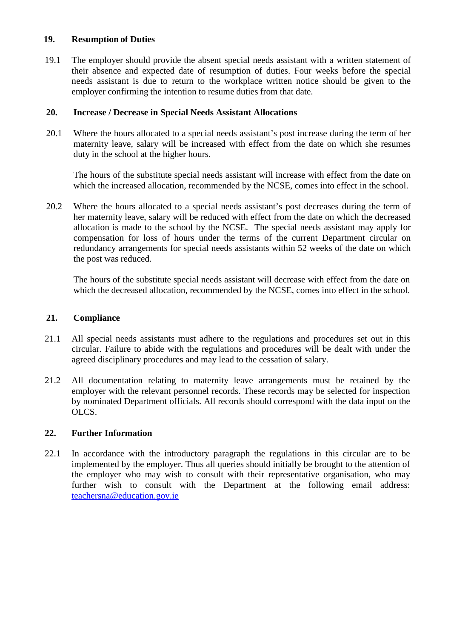#### **19. Resumption of Duties**

19.1 The employer should provide the absent special needs assistant with a written statement of their absence and expected date of resumption of duties. Four weeks before the special needs assistant is due to return to the workplace written notice should be given to the employer confirming the intention to resume duties from that date.

#### **20. Increase / Decrease in Special Needs Assistant Allocations**

20.1 Where the hours allocated to a special needs assistant's post increase during the term of her maternity leave, salary will be increased with effect from the date on which she resumes duty in the school at the higher hours.

 The hours of the substitute special needs assistant will increase with effect from the date on which the increased allocation, recommended by the NCSE, comes into effect in the school.

20.2Where the hours allocated to a special needs assistant's post decreases during the term of her maternity leave, salary will be reduced with effect from the date on which the decreased allocation is made to the school by the NCSE. The special needs assistant may apply for compensation for loss of hours under the terms of the current Department circular on redundancy arrangements for special needs assistants within 52 weeks of the date on which the post was reduced.

The hours of the substitute special needs assistant will decrease with effect from the date on which the decreased allocation, recommended by the NCSE, comes into effect in the school.

#### **21. Compliance**

- 21.1 All special needs assistants must adhere to the regulations and procedures set out in this circular. Failure to abide with the regulations and procedures will be dealt with under the agreed disciplinary procedures and may lead to the cessation of salary.
- 21.2 All documentation relating to maternity leave arrangements must be retained by the employer with the relevant personnel records. These records may be selected for inspection by nominated Department officials. All records should correspond with the data input on the OLCS.

#### **22. Further Information**

22.1 In accordance with the introductory paragraph the regulations in this circular are to be implemented by the employer. Thus all queries should initially be brought to the attention of the employer who may wish to consult with their representative organisation, who may further wish to consult with the Department at the following email address: teachersna@education.gov.ie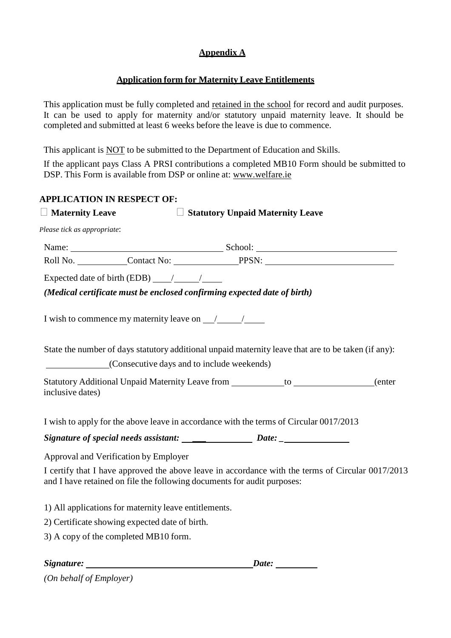# **Appendix A**

# **Application form for Maternity Leave Entitlements**

This application must be fully completed and retained in the school for record and audit purposes. It can be used to apply for maternity and/or statutory unpaid maternity leave. It should be completed and submitted at least 6 weeks before the leave is due to commence.

This applicant is NOT to be submitted to the Department of Education and Skills.

If the applicant pays Class A PRSI contributions a completed MB10 Form should be submitted to DSP. This Form is available from DSP or online at: www.welfare.ie

# **APPLICATION IN RESPECT OF:**

| $\Box$ Maternity Leave<br><b>Statutory Unpaid Maternity Leave</b>                                                                                                            |
|------------------------------------------------------------------------------------------------------------------------------------------------------------------------------|
| Please tick as appropriate:                                                                                                                                                  |
| Name: School: School: School:                                                                                                                                                |
|                                                                                                                                                                              |
| Expected date of birth (EDB) $\frac{\sqrt{2}}{2}$                                                                                                                            |
| (Medical certificate must be enclosed confirming expected date of birth)                                                                                                     |
|                                                                                                                                                                              |
| State the number of days statutory additional unpaid maternity leave that are to be taken (if any):<br>(Consecutive days and to include weekends)                            |
| Statutory Additional Unpaid Maternity Leave from ____________ to _______________<br>(enter<br>inclusive dates)                                                               |
| I wish to apply for the above leave in accordance with the terms of Circular 0017/2013                                                                                       |
|                                                                                                                                                                              |
| Approval and Verification by Employer                                                                                                                                        |
| I certify that I have approved the above leave in accordance with the terms of Circular 0017/2013<br>and I have retained on file the following documents for audit purposes: |
| 1) All applications for maternity leave entitlements.                                                                                                                        |
| 2) Certificate showing expected date of birth.                                                                                                                               |
| 3) A copy of the completed MB10 form.                                                                                                                                        |

| Signature: | Date: |
|------------|-------|
|            |       |
|            |       |

*(On behalf of Employer)*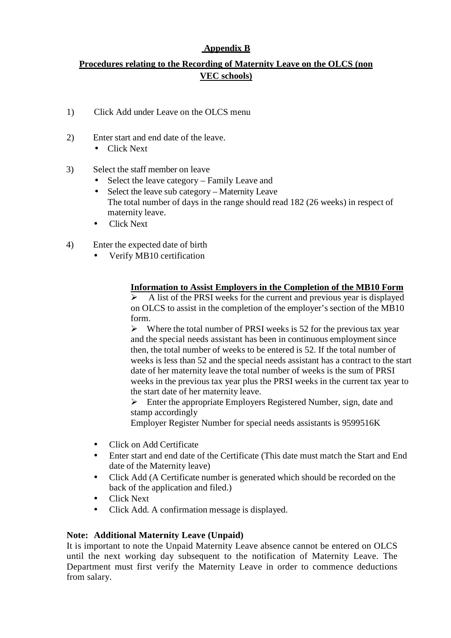# **Appendix B**

# **Procedures relating to the Recording of Maternity Leave on the OLCS (non VEC schools)**

- 1) Click Add under Leave on the OLCS menu
- 2) Enter start and end date of the leave.
	- Click Next
- 3) Select the staff member on leave
	- Select the leave category Family Leave and
	- Select the leave sub category Maternity Leave The total number of days in the range should read 182 (26 weeks) in respect of maternity leave.
	- Click Next
- 4) Enter the expected date of birth
	- Verify MB10 certification

## **Information to Assist Employers in the Completion of the MB10 Form**

 A list of the PRSI weeks for the current and previous year is displayed on OLCS to assist in the completion of the employer's section of the MB10 form.

 $\triangleright$  Where the total number of PRSI weeks is 52 for the previous tax year and the special needs assistant has been in continuous employment since then, the total number of weeks to be entered is 52. If the total number of weeks is less than 52 and the special needs assistant has a contract to the start date of her maternity leave the total number of weeks is the sum of PRSI weeks in the previous tax year plus the PRSI weeks in the current tax year to the start date of her maternity leave.

 $\triangleright$  Enter the appropriate Employers Registered Number, sign, date and stamp accordingly

Employer Register Number for special needs assistants is 9599516K

- Click on Add Certificate
- Enter start and end date of the Certificate (This date must match the Start and End date of the Maternity leave)
- Click Add (A Certificate number is generated which should be recorded on the back of the application and filed.)
- Click Next
- Click Add. A confirmation message is displayed.

## **Note: Additional Maternity Leave (Unpaid)**

It is important to note the Unpaid Maternity Leave absence cannot be entered on OLCS until the next working day subsequent to the notification of Maternity Leave. The Department must first verify the Maternity Leave in order to commence deductions from salary.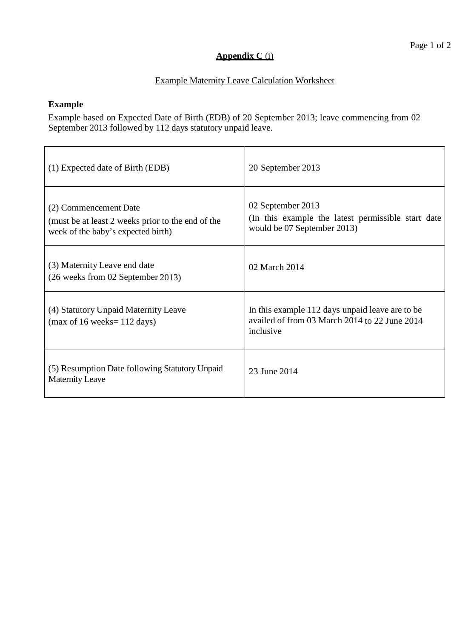# **Appendix C** (i)

# Example Maternity Leave Calculation Worksheet

# **Example**

Example based on Expected Date of Birth (EDB) of 20 September 2013; leave commencing from 02 September 2013 followed by 112 days statutory unpaid leave.

| (1) Expected date of Birth (EDB)                                                                                 | 20 September 2013                                                                                             |
|------------------------------------------------------------------------------------------------------------------|---------------------------------------------------------------------------------------------------------------|
| (2) Commencement Date<br>(must be at least 2 weeks prior to the end of the<br>week of the baby's expected birth) | 02 September 2013<br>(In this example the latest permissible start date<br>would be 07 September 2013)        |
| (3) Maternity Leave end date<br>(26 weeks from 02 September 2013)                                                | 02 March 2014                                                                                                 |
| (4) Statutory Unpaid Maternity Leave<br>$(max of 16 weeks = 112 days)$                                           | In this example 112 days unpaid leave are to be<br>availed of from 03 March 2014 to 22 June 2014<br>inclusive |
| (5) Resumption Date following Statutory Unpaid<br><b>Maternity Leave</b>                                         | 23 June 2014                                                                                                  |